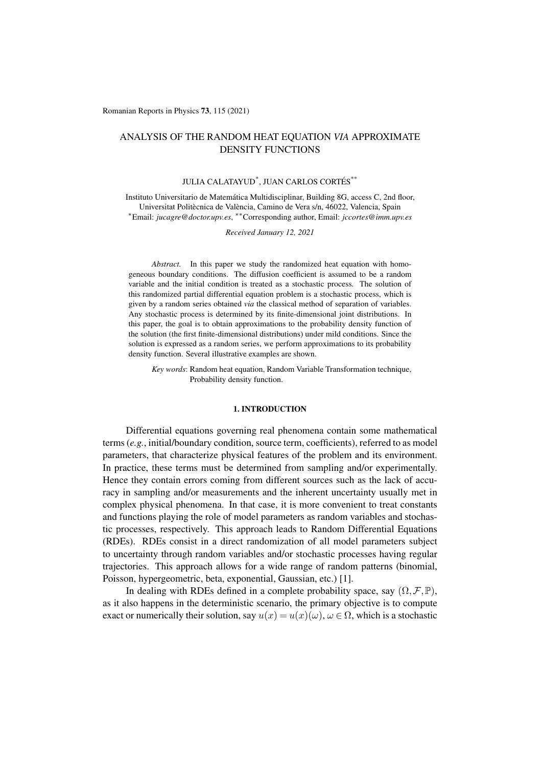Romanian Reports in Physics 73, 115 (2021)

# ANALYSIS OF THE RANDOM HEAT EQUATION *VIA* APPROXIMATE DENSITY FUNCTIONS

## JULIA CALATAYUD<sup>\*</sup>, JUAN CARLOS CORTÉS<sup>\*\*</sup>

Instituto Universitario de Matematica Multidisciplinar, Building 8G, access C, 2nd floor, ´ Universitat Politècnica de València, Camino de Vera s/n, 46022, Valencia, Spain ⇤Email: *jucagre@doctor.upv.es*, ⇤⇤Corresponding author, Email: *jccortes@imm.upv.es*

*Received January 12, 2021*

*Abstract.* In this paper we study the randomized heat equation with homogeneous boundary conditions. The diffusion coefficient is assumed to be a random variable and the initial condition is treated as a stochastic process. The solution of this randomized partial differential equation problem is a stochastic process, which is given by a random series obtained *via* the classical method of separation of variables. Any stochastic process is determined by its finite-dimensional joint distributions. In this paper, the goal is to obtain approximations to the probability density function of the solution (the first finite-dimensional distributions) under mild conditions. Since the solution is expressed as a random series, we perform approximations to its probability density function. Several illustrative examples are shown.

*Key words*: Random heat equation, Random Variable Transformation technique, Probability density function.

### 1. INTRODUCTION

Differential equations governing real phenomena contain some mathematical terms (*e.g.*, initial/boundary condition, source term, coefficients), referred to as model parameters, that characterize physical features of the problem and its environment. In practice, these terms must be determined from sampling and/or experimentally. Hence they contain errors coming from different sources such as the lack of accuracy in sampling and/or measurements and the inherent uncertainty usually met in complex physical phenomena. In that case, it is more convenient to treat constants and functions playing the role of model parameters as random variables and stochastic processes, respectively. This approach leads to Random Differential Equations (RDEs). RDEs consist in a direct randomization of all model parameters subject to uncertainty through random variables and/or stochastic processes having regular trajectories. This approach allows for a wide range of random patterns (binomial, Poisson, hypergeometric, beta, exponential, Gaussian, etc.) [1].

In dealing with RDEs defined in a complete probability space, say  $(\Omega, \mathcal{F}, \mathbb{P})$ , as it also happens in the deterministic scenario, the primary objective is to compute exact or numerically their solution, say  $u(x) = u(x)(\omega)$ ,  $\omega \in \Omega$ , which is a stochastic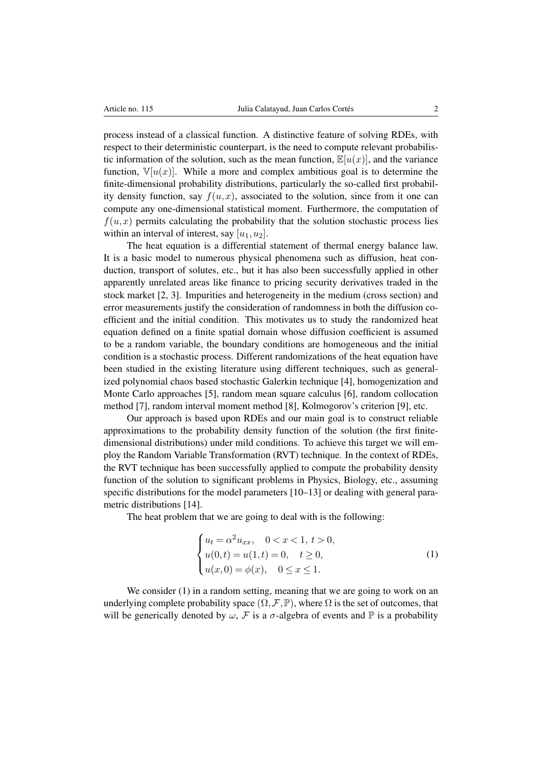process instead of a classical function. A distinctive feature of solving RDEs, with respect to their deterministic counterpart, is the need to compute relevant probabilistic information of the solution, such as the mean function,  $\mathbb{E}[u(x)]$ , and the variance function,  $\mathbb{V}[u(x)]$ . While a more and complex ambitious goal is to determine the finite-dimensional probability distributions, particularly the so-called first probability density function, say  $f(u, x)$ , associated to the solution, since from it one can compute any one-dimensional statistical moment. Furthermore, the computation of  $f(u, x)$  permits calculating the probability that the solution stochastic process lies within an interval of interest, say  $[u_1, u_2]$ .

The heat equation is a differential statement of thermal energy balance law. It is a basic model to numerous physical phenomena such as diffusion, heat conduction, transport of solutes, etc., but it has also been successfully applied in other apparently unrelated areas like finance to pricing security derivatives traded in the stock market [2, 3]. Impurities and heterogeneity in the medium (cross section) and error measurements justify the consideration of randomness in both the diffusion coefficient and the initial condition. This motivates us to study the randomized heat equation defined on a finite spatial domain whose diffusion coefficient is assumed to be a random variable, the boundary conditions are homogeneous and the initial condition is a stochastic process. Different randomizations of the heat equation have been studied in the existing literature using different techniques, such as generalized polynomial chaos based stochastic Galerkin technique [4], homogenization and Monte Carlo approaches [5], random mean square calculus [6], random collocation method [7], random interval moment method [8], Kolmogorov's criterion [9], etc.

Our approach is based upon RDEs and our main goal is to construct reliable approximations to the probability density function of the solution (the first finitedimensional distributions) under mild conditions. To achieve this target we will employ the Random Variable Transformation (RVT) technique. In the context of RDEs, the RVT technique has been successfully applied to compute the probability density function of the solution to significant problems in Physics, Biology, etc., assuming specific distributions for the model parameters [10–13] or dealing with general parametric distributions [14].

The heat problem that we are going to deal with is the following:

$$
\begin{cases} u_t = \alpha^2 u_{xx}, & 0 < x < 1, t > 0, \\ u(0, t) = u(1, t) = 0, & t \ge 0, \\ u(x, 0) = \phi(x), & 0 \le x \le 1. \end{cases}
$$
 (1)

We consider (1) in a random setting, meaning that we are going to work on an underlying complete probability space  $(\Omega, \mathcal{F}, \mathbb{P})$ , where  $\Omega$  is the set of outcomes, that will be generically denoted by  $\omega$ , *F* is a  $\sigma$ -algebra of events and P is a probability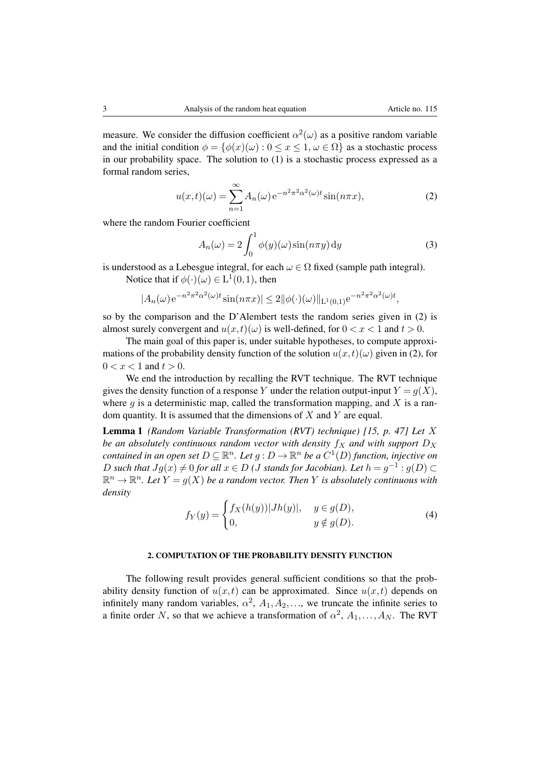measure. We consider the diffusion coefficient  $\alpha^2(\omega)$  as a positive random variable and the initial condition  $\phi = {\phi(x)(\omega): 0 \le x \le 1, \omega \in \Omega}$  as a stochastic process in our probability space. The solution to (1) is a stochastic process expressed as a formal random series,

$$
u(x,t)(\omega) = \sum_{n=1}^{\infty} A_n(\omega) e^{-n^2 \pi^2 \alpha^2(\omega)t} \sin(n\pi x),
$$
 (2)

where the random Fourier coefficient

$$
A_n(\omega) = 2 \int_0^1 \phi(y)(\omega) \sin(n\pi y) \, dy \tag{3}
$$

is understood as a Lebesgue integral, for each  $\omega \in \Omega$  fixed (sample path integral).

Notice that if  $\phi(\cdot)(\omega) \in L^1(0,1)$ , then

$$
|A_n(\omega)e^{-n^2\pi^2\alpha^2(\omega)t}\sin(n\pi x)| \le 2\|\phi(\cdot)(\omega)\|_{\mathcal{L}^1(0,1)}e^{-n^2\pi^2\alpha^2(\omega)t},
$$

so by the comparison and the D'Alembert tests the random series given in (2) is almost surely convergent and  $u(x,t)(\omega)$  is well-defined, for  $0 < x < 1$  and  $t > 0$ .

The main goal of this paper is, under suitable hypotheses, to compute approximations of the probability density function of the solution  $u(x,t)(\omega)$  given in (2), for  $0 < x < 1$  and  $t > 0$ .

We end the introduction by recalling the RVT technique. The RVT technique gives the density function of a response Y under the relation output-input  $Y = q(X)$ , where  $q$  is a deterministic map, called the transformation mapping, and  $X$  is a random quantity. It is assumed that the dimensions of *X* and *Y* are equal.

Lemma 1 *(Random Variable Transformation (RVT) technique) [15, p. 47] Let X be an absolutely continuous random vector with density*  $f_X$  *and with support*  $D_X$ *contained in an open set*  $D \subseteq \mathbb{R}^n$ . Let  $g: D \to \mathbb{R}^n$  be a  $C^1(D)$  function, injective on *D* such that  $Jg(x) \neq 0$  for all  $x \in D$  (*J* stands for Jacobian). Let  $h = g^{-1} : g(D) \subset D$  $\mathbb{R}^n \to \mathbb{R}^n$ . Let  $Y = g(X)$  be a random vector. Then Y is absolutely continuous with *density*

$$
f_Y(y) = \begin{cases} f_X(h(y)) |Jh(y)|, & y \in g(D), \\ 0, & y \notin g(D). \end{cases}
$$
 (4)

### 2. COMPUTATION OF THE PROBABILITY DENSITY FUNCTION

The following result provides general sufficient conditions so that the probability density function of  $u(x,t)$  can be approximated. Since  $u(x,t)$  depends on infinitely many random variables,  $\alpha^2$ ,  $A_1, A_2, \ldots$ , we truncate the infinite series to a finite order *N*, so that we achieve a transformation of  $\alpha^2$ ,  $A_1, \ldots, A_N$ . The RVT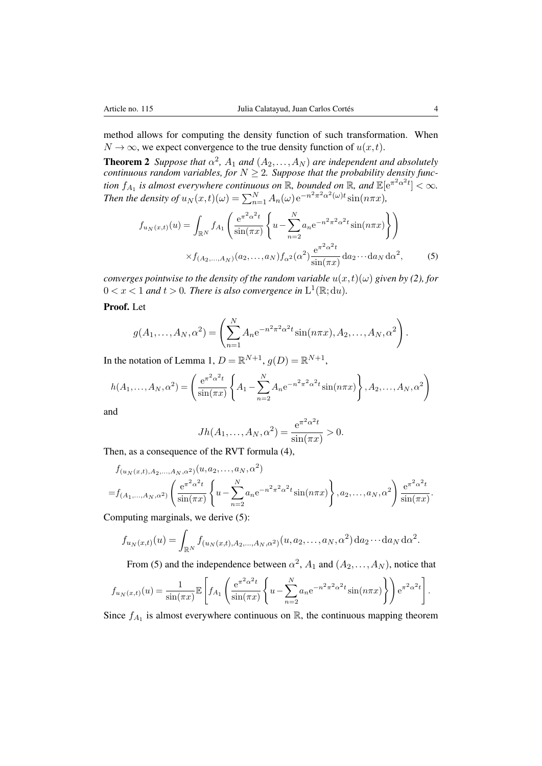method allows for computing the density function of such transformation. When  $N \rightarrow \infty$ , we expect convergence to the true density function of  $u(x,t)$ .

**Theorem 2** *Suppose that*  $\alpha^2$ ,  $A_1$  *and*  $(A_2, \ldots, A_N)$  *are independent and absolutely continuous random variables, for*  $N \geq 2$ . Suppose that the probability density func*tion*  $f_{A_1}$  *is almost everywhere continuous on*  $\mathbb{R}$ *, bounded on*  $\mathbb{R}$ *, and*  $\mathbb{E}[\mathrm{e}^{\pi^2 \alpha^2 t}] < \infty$ *. Then the density of*  $u_N(x,t)(\omega) = \sum_{n=1}^N A_n(\omega) e^{-n^2 \pi^2 \alpha^2(\omega)t} \sin(n \pi x)$ ,

$$
f_{u_N(x,t)}(u) = \int_{\mathbb{R}^N} f_{A_1} \left( \frac{e^{\pi^2 \alpha^2 t}}{\sin(\pi x)} \left\{ u - \sum_{n=2}^N a_n e^{-n^2 \pi^2 \alpha^2 t} \sin(n\pi x) \right\} \right)
$$

$$
\times f_{(A_2,...,A_N)}(a_2,...,a_N) f_{\alpha^2}(\alpha^2) \frac{e^{\pi^2 \alpha^2 t}}{\sin(\pi x)} da_2 \cdots da_N d\alpha^2,
$$
 (5)

*converges pointwise to the density of the random variable*  $u(x,t)(\omega)$  *given by (2), for*  $0 < x < 1$  and  $t > 0$ . There is also convergence in  $L^1(\mathbb{R}; du)$ .

# Proof. Let

$$
g(A_1,\ldots,A_N,\alpha^2) = \left(\sum_{n=1}^N A_n e^{-n^2 \pi^2 \alpha^2 t} \sin(n \pi x), A_2, \ldots, A_N, \alpha^2\right).
$$

In the notation of Lemma 1,  $D = \mathbb{R}^{N+1}$ ,  $g(D) = \mathbb{R}^{N+1}$ ,

$$
h(A_1,\ldots,A_N,\alpha^2) = \left(\frac{e^{\pi^2\alpha^2t}}{\sin(\pi x)}\left\{A_1 - \sum_{n=2}^N A_n e^{-n^2\pi^2\alpha^2t}\sin(n\pi x)\right\}, A_2,\ldots,A_N,\alpha^2\right)
$$

and

$$
Jh(A_1,\ldots,A_N,\alpha^2) = \frac{e^{\pi^2\alpha^2t}}{\sin(\pi x)} > 0.
$$

Then, as a consequence of the RVT formula (4),

$$
f_{(u_N(x,t),A_2,...,A_N,\alpha^2)}(u,a_2,...,a_N,\alpha^2)
$$
  
=  $f_{(A_1,...,A_N,\alpha^2)}\left(\frac{e^{\pi^2\alpha^2t}}{\sin(\pi x)}\left\{u-\sum_{n=2}^N a_n e^{-n^2\pi^2\alpha^2t}\sin(n\pi x)\right\},a_2,...,a_N,\alpha^2\right)\frac{e^{\pi^2\alpha^2t}}{\sin(\pi x)}.$ 

Computing marginals, we derive (5):

$$
f_{u_N(x,t)}(u) = \int_{\mathbb{R}^N} f_{(u_N(x,t),A_2,...,A_N,\alpha^2)}(u,a_2,...,a_N,\alpha^2) da_2 \cdots da_N d\alpha^2.
$$

From (5) and the independence between  $\alpha^2$ ,  $A_1$  and  $(A_2, \ldots, A_N)$ , notice that

$$
f_{u_N(x,t)}(u) = \frac{1}{\sin(\pi x)} \mathbb{E}\left[f_{A_1}\left(\frac{e^{\pi^2 \alpha^2 t}}{\sin(\pi x)} \left\{u - \sum_{n=2}^N a_n e^{-n^2 \pi^2 \alpha^2 t} \sin(n\pi x)\right\}\right) e^{\pi^2 \alpha^2 t}\right].
$$

Since  $f_{A_1}$  is almost everywhere continuous on  $\mathbb R$ , the continuous mapping theorem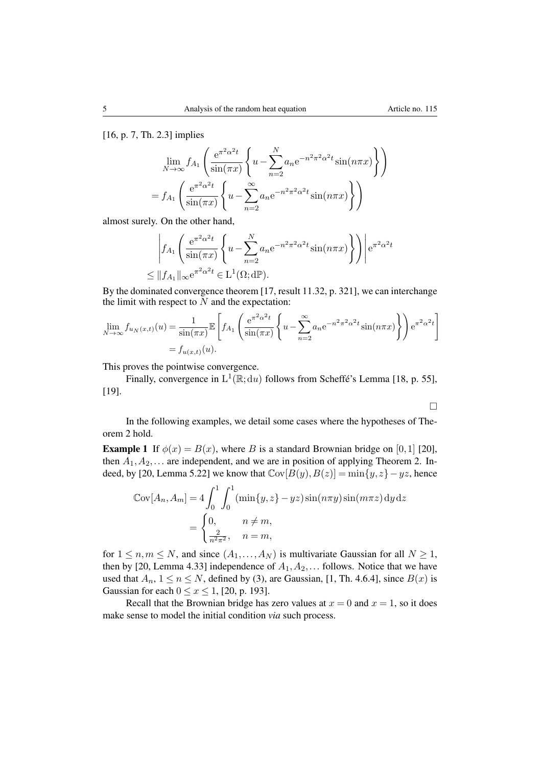[16, p. 7, Th. 2.3] implies

$$
\lim_{N \to \infty} f_{A_1} \left( \frac{e^{\pi^2 \alpha^2 t}}{\sin(\pi x)} \left\{ u - \sum_{n=2}^N a_n e^{-n^2 \pi^2 \alpha^2 t} \sin(n \pi x) \right\} \right)
$$
  
=  $f_{A_1} \left( \frac{e^{\pi^2 \alpha^2 t}}{\sin(\pi x)} \left\{ u - \sum_{n=2}^\infty a_n e^{-n^2 \pi^2 \alpha^2 t} \sin(n \pi x) \right\} \right)$ 

almost surely. On the other hand,

$$
\left| f_{A_1} \left( \frac{e^{\pi^2 \alpha^2 t}}{\sin(\pi x)} \left\{ u - \sum_{n=2}^N a_n e^{-n^2 \pi^2 \alpha^2 t} \sin(n \pi x) \right\} \right) \right| e^{\pi^2 \alpha^2 t}
$$
  

$$
\leq ||f_{A_1}||_{\infty} e^{\pi^2 \alpha^2 t} \in \mathcal{L}^1(\Omega; d\mathbb{P}).
$$

By the dominated convergence theorem [17, result 11.32, p. 321], we can interchange the limit with respect to  $N$  and the expectation:

$$
\lim_{N \to \infty} f_{u_N(x,t)}(u) = \frac{1}{\sin(\pi x)} \mathbb{E} \left[ f_{A_1} \left( \frac{e^{\pi^2 \alpha^2 t}}{\sin(\pi x)} \left\{ u - \sum_{n=2}^{\infty} a_n e^{-n^2 \pi^2 \alpha^2 t} \sin(n\pi x) \right\} \right) e^{\pi^2 \alpha^2 t} \right]
$$

$$
= f_{u(x,t)}(u).
$$

This proves the pointwise convergence.

Finally, convergence in  $L^1(\mathbb{R}; du)$  follows from Scheffe's Lemma [18, p. 55], [19].

$$
\qquad \qquad \Box
$$

In the following examples, we detail some cases where the hypotheses of Theorem 2 hold.

**Example 1** If  $\phi(x) = B(x)$ , where *B* is a standard Brownian bridge on [0,1] [20], then  $A_1, A_2, \ldots$  are independent, and we are in position of applying Theorem 2. Indeed, by [20, Lemma 5.22] we know that  $Cov[B(y), B(z)] = min\{y, z\} - yz$ , hence

$$
\begin{aligned} \mathbb{C}\text{ov}[A_n, A_m] &= 4 \int_0^1 \int_0^1 (\min\{y, z\} - yz) \sin(n\pi y) \sin(m\pi z) \, \mathrm{d}y \, \mathrm{d}z \\ &= \begin{cases} 0, & n \neq m, \\ \frac{2}{n^2 \pi^2}, & n = m, \end{cases} \end{aligned}
$$

for  $1 \le n, m \le N$ , and since  $(A_1, \ldots, A_N)$  is multivariate Gaussian for all  $N \ge 1$ , then by [20, Lemma 4.33] independence of  $A_1, A_2, \ldots$  follows. Notice that we have used that  $A_n$ ,  $1 \le n \le N$ , defined by (3), are Gaussian, [1, Th. 4.6.4], since  $B(x)$  is Gaussian for each  $0 \le x \le 1$ , [20, p. 193].

Recall that the Brownian bridge has zero values at  $x = 0$  and  $x = 1$ , so it does make sense to model the initial condition *via* such process.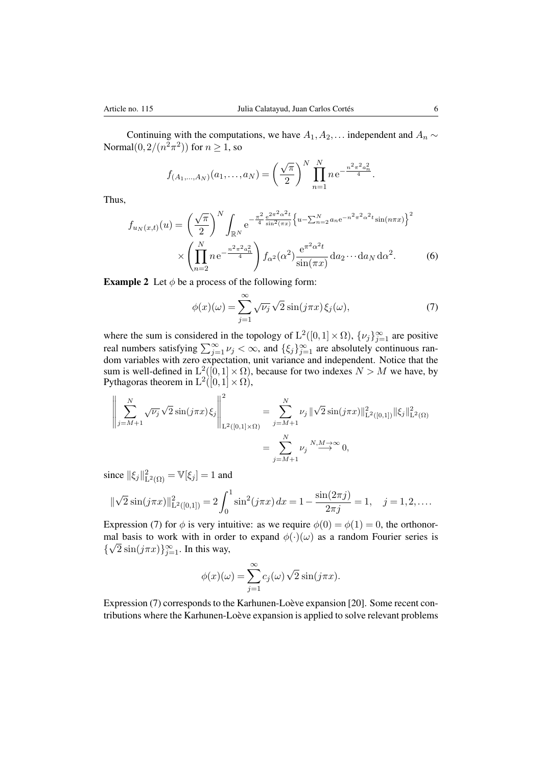Continuing with the computations, we have  $A_1, A_2, \ldots$  independent and  $A_n \sim$ Normal $(0, 2/(n^2\pi^2))$  for  $n > 1$ , so

$$
f_{(A_1,...,A_N)}(a_1,...,a_N) = \left(\frac{\sqrt{\pi}}{2}\right)^N \prod_{n=1}^N n e^{-\frac{n^2 \pi^2 a_n^2}{4}}.
$$

Thus,

$$
f_{u_N(x,t)}(u) = \left(\frac{\sqrt{\pi}}{2}\right)^N \int_{\mathbb{R}^N} e^{-\frac{\pi^2}{4} \frac{e^{2\pi^2 \alpha^2 t}}{\sin^2(\pi x)} \left\{u - \sum_{n=2}^N a_n e^{-n^2 \pi^2 \alpha^2 t} \sin(n\pi x)\right\}^2} \times \left(\prod_{n=2}^N n e^{-\frac{n^2 \pi^2 a_n^2}{4}}\right) f_{\alpha^2}(\alpha^2) \frac{e^{\pi^2 \alpha^2 t}}{\sin(\pi x)} da_2 \cdots da_N d\alpha^2.
$$
 (6)

**Example 2** Let  $\phi$  be a process of the following form:

$$
\phi(x)(\omega) = \sum_{j=1}^{\infty} \sqrt{\nu_j} \sqrt{2} \sin(j\pi x) \xi_j(\omega),\tag{7}
$$

where the sum is considered in the topology of  $L^2([0,1] \times \Omega)$ ,  $\{\nu_j\}_{j=1}^{\infty}$  are positive real numbers satisfying  $\sum_{j=1}^{\infty} \nu_j < \infty$ , and  $\{\xi_j\}_{j=1}^{\infty}$  are absolutely continuous random variables with zero expectation, unit variance and independent. Notice that the sum is well-defined in  $L^2([0,1]\times\Omega)$ , because for two indexes  $N > M$  we have, by Pythagoras theorem in  $L^2([0,1] \times \Omega)$ ,

$$
\left\| \sum_{j=M+1}^{N} \sqrt{\nu_j} \sqrt{2} \sin(j\pi x) \xi_j \right\|_{\mathcal{L}^2([0,1] \times \Omega)}^2 = \sum_{j=M+1}^{N} \nu_j \|\sqrt{2} \sin(j\pi x)\|_{\mathcal{L}^2([0,1])}^2 \|\xi_j\|_{\mathcal{L}^2(\Omega)}^2
$$

$$
= \sum_{j=M+1}^{N} \nu_j \xrightarrow{N,M \to \infty} 0,
$$

since  $\|\xi_j\|_{\mathrm{L}^2(\Omega)}^2 = \mathbb{V}[\xi_j] = 1$  and

$$
\|\sqrt{2}\sin(j\pi x)\|_{\mathcal{L}^2([0,1])}^2 = 2\int_0^1 \sin^2(j\pi x) \, dx = 1 - \frac{\sin(2\pi j)}{2\pi j} = 1, \quad j = 1, 2, \dots.
$$

Expression (7) for  $\phi$  is very intuitive: as we require  $\phi(0) = \phi(1) = 0$ , the orthonormal basis to work with in order to expand  $\phi(\cdot)(\omega)$  as a random Fourier series is  $\{\sqrt{2} \sin(j\pi x)\}_{j=1}^{\infty}$ . In this way,

$$
\phi(x)(\omega) = \sum_{j=1}^{\infty} c_j(\omega) \sqrt{2} \sin(j\pi x).
$$

Expression (7) corresponds to the Karhunen-Loève expansion [20]. Some recent contributions where the Karhunen-Loève expansion is applied to solve relevant problems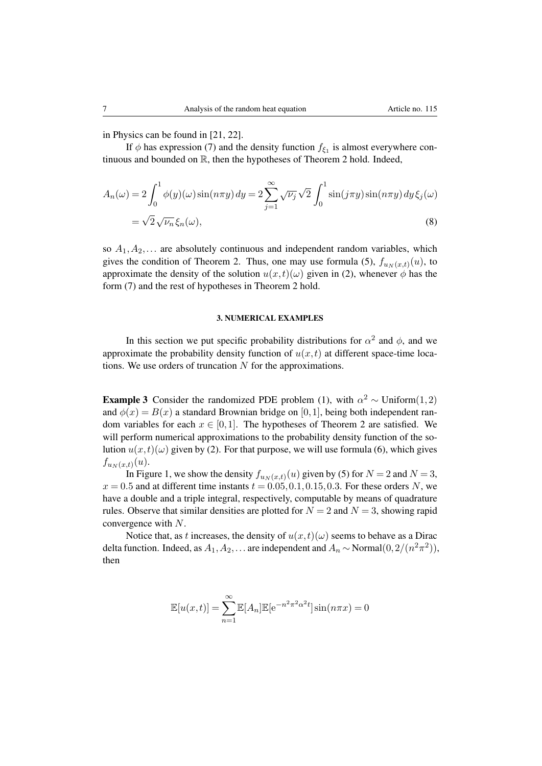in Physics can be found in [21, 22].

If  $\phi$  has expression (7) and the density function  $f_{\xi_1}$  is almost everywhere continuous and bounded on R, then the hypotheses of Theorem 2 hold. Indeed,

$$
A_n(\omega) = 2 \int_0^1 \phi(y)(\omega) \sin(n\pi y) dy = 2 \sum_{j=1}^\infty \sqrt{\nu_j} \sqrt{2} \int_0^1 \sin(j\pi y) \sin(n\pi y) dy \xi_j(\omega)
$$
  
=  $\sqrt{2} \sqrt{\nu_n} \xi_n(\omega),$  (8)

so  $A_1, A_2, \ldots$  are absolutely continuous and independent random variables, which gives the condition of Theorem 2. Thus, one may use formula (5),  $f_{u_N(x,t)}(u)$ , to approximate the density of the solution  $u(x,t)(\omega)$  given in (2), whenever  $\phi$  has the form (7) and the rest of hypotheses in Theorem 2 hold.

### 3. NUMERICAL EXAMPLES

In this section we put specific probability distributions for  $\alpha^2$  and  $\phi$ , and we approximate the probability density function of  $u(x, t)$  at different space-time locations. We use orders of truncation *N* for the approximations.

**Example 3** Consider the randomized PDE problem (1), with  $\alpha^2 \sim \text{Uniform}(1,2)$ and  $\phi(x) = B(x)$  a standard Brownian bridge on [0,1], being both independent random variables for each  $x \in [0,1]$ . The hypotheses of Theorem 2 are satisfied. We will perform numerical approximations to the probability density function of the solution  $u(x,t)(\omega)$  given by (2). For that purpose, we will use formula (6), which gives  $f_{u_N(x,t)}(u)$ .

In Figure 1, we show the density  $f_{u_N(x,t)}(u)$  given by (5) for  $N = 2$  and  $N = 3$ ,  $x = 0.5$  and at different time instants  $t = 0.05, 0.1, 0.15, 0.3$ . For these orders *N*, we have a double and a triple integral, respectively, computable by means of quadrature rules. Observe that similar densities are plotted for  $N = 2$  and  $N = 3$ , showing rapid convergence with *N*.

Notice that, as *t* increases, the density of  $u(x,t)(\omega)$  seems to behave as a Dirac delta function. Indeed, as  $A_1, A_2, \ldots$  are independent and  $A_n \sim \text{Normal}(0, 2/(n^2 \pi^2))$ , then

$$
\mathbb{E}[u(x,t)] = \sum_{n=1}^{\infty} \mathbb{E}[A_n] \mathbb{E}[e^{-n^2 \pi^2 \alpha^2 t}] \sin(n \pi x) = 0
$$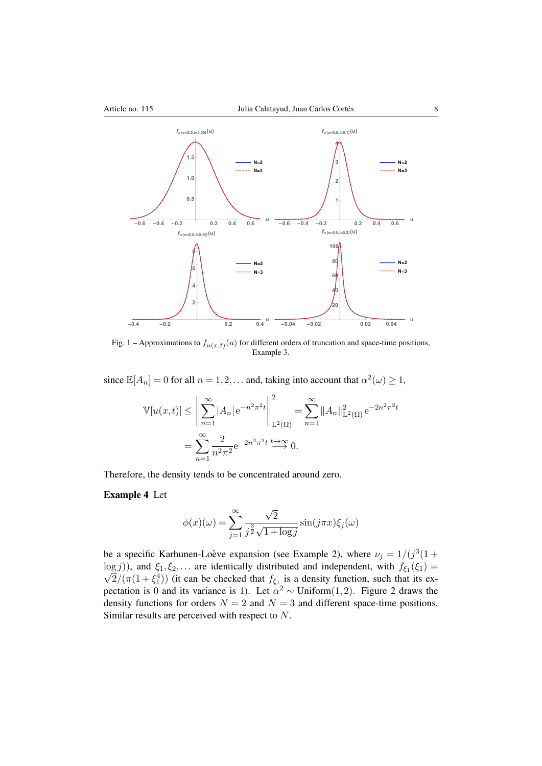

Fig. 1 – Approximations to  $f_{u(x,t)}(u)$  for different orders of truncation and space-time positions, Example 3.

since  $\mathbb{E}[A_n]=0$  for all  $n=1,2,...$  and, taking into account that  $\alpha^2(\omega) \geq 1$ ,

$$
\mathbb{V}[u(x,t)] \le \left\| \sum_{n=1}^{\infty} |A_n| e^{-n^2 \pi^2 t} \right\|_{\mathcal{L}^2(\Omega)}^2 = \sum_{n=1}^{\infty} \|A_n\|_{\mathcal{L}^2(\Omega)}^2 e^{-2n^2 \pi^2 t}
$$

$$
= \sum_{n=1}^{\infty} \frac{2}{n^2 \pi^2} e^{-2n^2 \pi^2 t} \xrightarrow{t \to \infty} 0.
$$

Therefore, the density tends to be concentrated around zero.

## Example 4 Let

$$
\phi(x)(\omega) = \sum_{j=1}^{\infty} \frac{\sqrt{2}}{j^{\frac{3}{2}}\sqrt{1+\log j}} \sin(j\pi x)\xi_j(\omega)
$$

be a specific Karhunen-Loève expansion (see Example 2), where  $\nu_j = 1/(j^3(1 +$  $\log j$ ), and  $\xi_1, \xi_2,...$  are identically distributed and independent, with  $f_{\xi_1}(\xi_1) =$ <br> $\sqrt{2}/(\pi(1+\xi^4))$  (it can be checked that  $f_{\xi_1}$  is a density function, such that its ex- $\sqrt{2}/(\pi(1+\xi_1^4))$  (it can be checked that  $f_{\xi_1}$  is a density function, such that its expectation is 0 and its variance is 1). Let  $\alpha^2 \sim \text{Uniform}(1,2)$ . Figure 2 draws the density functions for orders  $N = 2$  and  $N = 3$  and different space-time positions. Similar results are perceived with respect to *N*.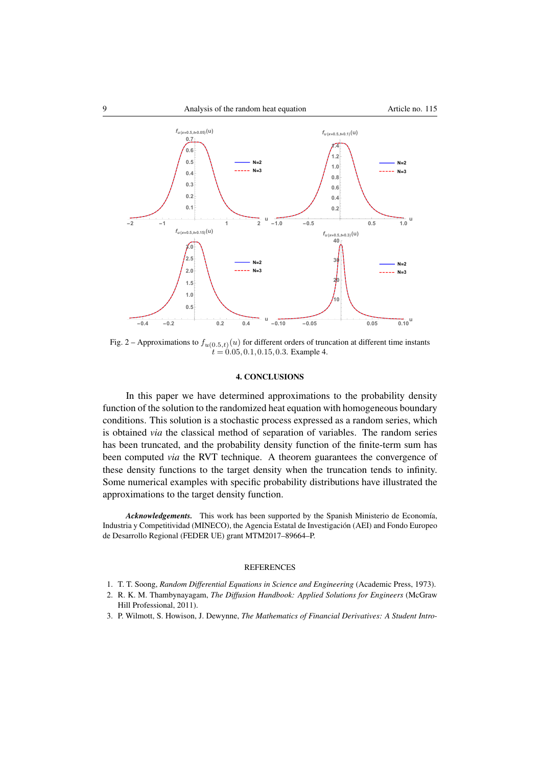

Fig. 2 – Approximations to  $f_{u(0.5,t)}(u)$  for different orders of truncation at different time instants  $t = 0.05, 0.1, 0.15, 0.3$ . Example 4.

#### 4. CONCLUSIONS

In this paper we have determined approximations to the probability density function of the solution to the randomized heat equation with homogeneous boundary conditions. This solution is a stochastic process expressed as a random series, which is obtained *via* the classical method of separation of variables. The random series has been truncated, and the probability density function of the finite-term sum has been computed *via* the RVT technique. A theorem guarantees the convergence of these density functions to the target density when the truncation tends to infinity. Some numerical examples with specific probability distributions have illustrated the approximations to the target density function.

*Acknowledgements.* This work has been supported by the Spanish Ministerio de Economía, Industria y Competitividad (MINECO), the Agencia Estatal de Investigacion (AEI) and Fondo Europeo ´ de Desarrollo Regional (FEDER UE) grant MTM2017–89664–P.

#### **REFERENCES**

- 1. T. T. Soong, *Random Differential Equations in Science and Engineering* (Academic Press, 1973).
- 2. R. K. M. Thambynayagam, *The Diffusion Handbook: Applied Solutions for Engineers* (McGraw Hill Professional, 2011).
- 3. P. Wilmott, S. Howison, J. Dewynne, *The Mathematics of Financial Derivatives: A Student Intro-*